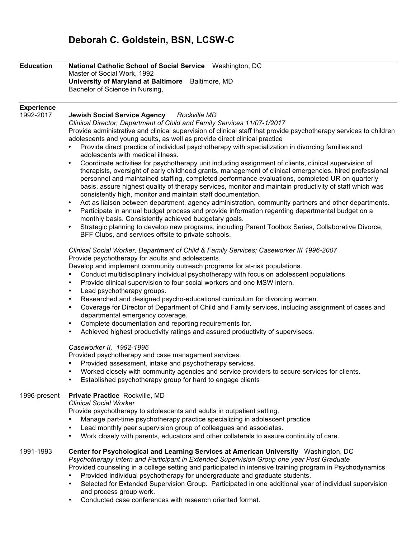# **Deborah C. Goldstein, BSN, LCSW-C**

| <b>Education</b>               | National Catholic School of Social Service Washington, DC<br>Master of Social Work, 1992                                                                                                                                                                                                                                                                                                                                                                                                                                                                                                                                                                                                                                                                                                                                                                                                                                                                                                                                                                                                                                                                                                                                                                                                                                                                                                                                                |
|--------------------------------|-----------------------------------------------------------------------------------------------------------------------------------------------------------------------------------------------------------------------------------------------------------------------------------------------------------------------------------------------------------------------------------------------------------------------------------------------------------------------------------------------------------------------------------------------------------------------------------------------------------------------------------------------------------------------------------------------------------------------------------------------------------------------------------------------------------------------------------------------------------------------------------------------------------------------------------------------------------------------------------------------------------------------------------------------------------------------------------------------------------------------------------------------------------------------------------------------------------------------------------------------------------------------------------------------------------------------------------------------------------------------------------------------------------------------------------------|
|                                | University of Maryland at Baltimore Baltimore, MD                                                                                                                                                                                                                                                                                                                                                                                                                                                                                                                                                                                                                                                                                                                                                                                                                                                                                                                                                                                                                                                                                                                                                                                                                                                                                                                                                                                       |
|                                | Bachelor of Science in Nursing,                                                                                                                                                                                                                                                                                                                                                                                                                                                                                                                                                                                                                                                                                                                                                                                                                                                                                                                                                                                                                                                                                                                                                                                                                                                                                                                                                                                                         |
|                                |                                                                                                                                                                                                                                                                                                                                                                                                                                                                                                                                                                                                                                                                                                                                                                                                                                                                                                                                                                                                                                                                                                                                                                                                                                                                                                                                                                                                                                         |
| <b>Experience</b><br>1992-2017 | Jewish Social Service Agency Rockville MD<br>Clinical Director, Department of Child and Family Services 11/07-1/2017<br>Provide administrative and clinical supervision of clinical staff that provide psychotherapy services to children<br>adolescents and young adults, as well as provide direct clinical practice<br>Provide direct practice of individual psychotherapy with specialization in divorcing families and<br>adolescents with medical illness.<br>Coordinate activities for psychotherapy unit including assignment of clients, clinical supervision of<br>٠<br>therapists, oversight of early childhood grants, management of clinical emergencies, hired professional<br>personnel and maintained staffing, completed performance evaluations, completed UR on quarterly<br>basis, assure highest quality of therapy services, monitor and maintain productivity of staff which was<br>consistently high, monitor and maintain staff documentation.<br>Act as liaison between department, agency administration, community partners and other departments.<br>٠<br>Participate in annual budget process and provide information regarding departmental budget on a<br>$\bullet$<br>monthly basis. Consistently achieved budgetary goals.<br>Strategic planning to develop new programs, including Parent Toolbox Series, Collaborative Divorce,<br>$\bullet$<br>BFF Clubs, and services offsite to private schools. |
|                                | Clinical Social Worker, Department of Child & Family Services; Caseworker III 1996-2007<br>Provide psychotherapy for adults and adolescents.<br>Develop and implement community outreach programs for at-risk populations.<br>Conduct multidisciplinary individual psychotherapy with focus on adolescent populations<br>$\bullet$<br>Provide clinical supervision to four social workers and one MSW intern.<br>$\bullet$<br>Lead psychotherapy groups.<br>$\bullet$<br>Researched and designed psycho-educational curriculum for divorcing women.<br>$\bullet$<br>Coverage for Director of Department of Child and Family services, including assignment of cases and<br>$\bullet$<br>departmental emergency coverage.<br>Complete documentation and reporting requirements for.<br>$\bullet$<br>Achieved highest productivity ratings and assured productivity of supervisees.<br>$\bullet$<br>Caseworker II, 1992-1996<br>Provided psychotherapy and case management services.<br>Provided assessment, intake and psychotherapy services.                                                                                                                                                                                                                                                                                                                                                                                           |
|                                | Worked closely with community agencies and service providers to secure services for clients.<br>Established psychotherapy group for hard to engage clients                                                                                                                                                                                                                                                                                                                                                                                                                                                                                                                                                                                                                                                                                                                                                                                                                                                                                                                                                                                                                                                                                                                                                                                                                                                                              |
| 1996-present                   | Private Practice Rockville, MD<br><b>Clinical Social Worker</b><br>Provide psychotherapy to adolescents and adults in outpatient setting.<br>Manage part-time psychotherapy practice specializing in adolescent practice<br>Lead monthly peer supervision group of colleagues and associates.<br>٠<br>Work closely with parents, educators and other collaterals to assure continuity of care.<br>٠                                                                                                                                                                                                                                                                                                                                                                                                                                                                                                                                                                                                                                                                                                                                                                                                                                                                                                                                                                                                                                     |
| 1991-1993                      | Center for Psychological and Learning Services at American University Washington, DC<br>Psychotherapy Intern and Participant in Extended Supervision Group one year Post Graduate<br>Provided counseling in a college setting and participated in intensive training program in Psychodynamics<br>Provided individual psychotherapy for undergraduate and graduate students.<br>Selected for Extended Supervision Group. Participated in one additional year of individual supervision<br>٠<br>and process group work.<br>Conducted case conferences with research oriented format.<br>$\bullet$                                                                                                                                                                                                                                                                                                                                                                                                                                                                                                                                                                                                                                                                                                                                                                                                                                        |